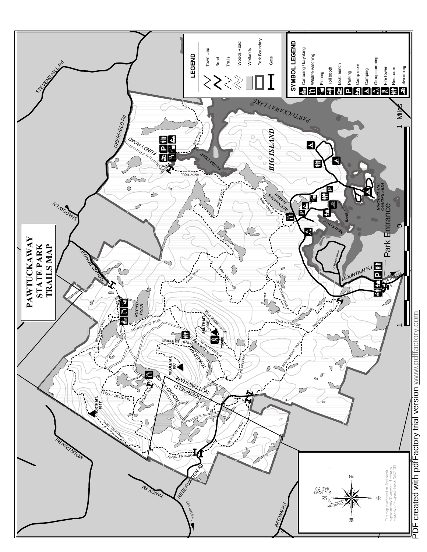

PDF created with pdfFactory trial version www.pdffactory.com PDF created with pdfFactory trial version [www.pdffactory.com](http://www.pdffactory.com)